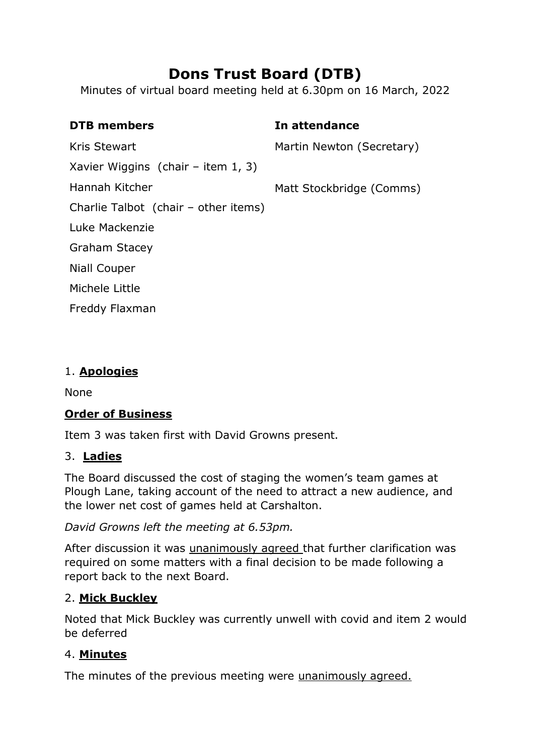# **Dons Trust Board (DTB)**

Minutes of virtual board meeting held at 6.30pm on 16 March, 2022

| <b>DTB</b> members                    | In attendance             |
|---------------------------------------|---------------------------|
| Kris Stewart                          | Martin Newton (Secretary) |
| Xavier Wiggins (chair – item $1, 3$ ) |                           |
| Hannah Kitcher                        | Matt Stockbridge (Comms)  |
| Charlie Talbot (chair – other items)  |                           |
| Luke Mackenzie                        |                           |
| <b>Graham Stacey</b>                  |                           |
| Niall Couper                          |                           |
| Michele Little                        |                           |
| Freddy Flaxman                        |                           |

#### 1. **Apologies**

None

#### **Order of Business**

Item 3 was taken first with David Growns present.

#### 3. **Ladies**

The Board discussed the cost of staging the women's team games at Plough Lane, taking account of the need to attract a new audience, and the lower net cost of games held at Carshalton.

*David Growns left the meeting at 6.53pm.*

After discussion it was unanimously agreed that further clarification was required on some matters with a final decision to be made following a report back to the next Board.

#### 2. **Mick Buckley**

Noted that Mick Buckley was currently unwell with covid and item 2 would be deferred

#### 4. **Minutes**

The minutes of the previous meeting were unanimously agreed.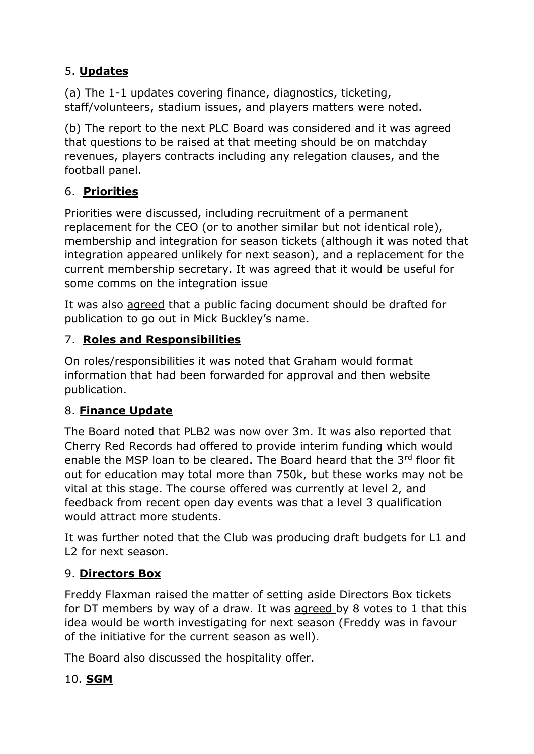# 5. **Updates**

(a) The 1-1 updates covering finance, diagnostics, ticketing, staff/volunteers, stadium issues, and players matters were noted.

(b) The report to the next PLC Board was considered and it was agreed that questions to be raised at that meeting should be on matchday revenues, players contracts including any relegation clauses, and the football panel.

## 6. **Priorities**

Priorities were discussed, including recruitment of a permanent replacement for the CEO (or to another similar but not identical role), membership and integration for season tickets (although it was noted that integration appeared unlikely for next season), and a replacement for the current membership secretary. It was agreed that it would be useful for some comms on the integration issue

It was also agreed that a public facing document should be drafted for publication to go out in Mick Buckley's name.

## 7. **Roles and Responsibilities**

On roles/responsibilities it was noted that Graham would format information that had been forwarded for approval and then website publication.

## 8. **Finance Update**

The Board noted that PLB2 was now over 3m. It was also reported that Cherry Red Records had offered to provide interim funding which would enable the MSP loan to be cleared. The Board heard that the  $3<sup>rd</sup>$  floor fit out for education may total more than 750k, but these works may not be vital at this stage. The course offered was currently at level 2, and feedback from recent open day events was that a level 3 qualification would attract more students.

It was further noted that the Club was producing draft budgets for L1 and L2 for next season.

## 9. **Directors Box**

Freddy Flaxman raised the matter of setting aside Directors Box tickets for DT members by way of a draw. It was agreed by 8 votes to 1 that this idea would be worth investigating for next season (Freddy was in favour of the initiative for the current season as well).

The Board also discussed the hospitality offer.

# 10. **SGM**